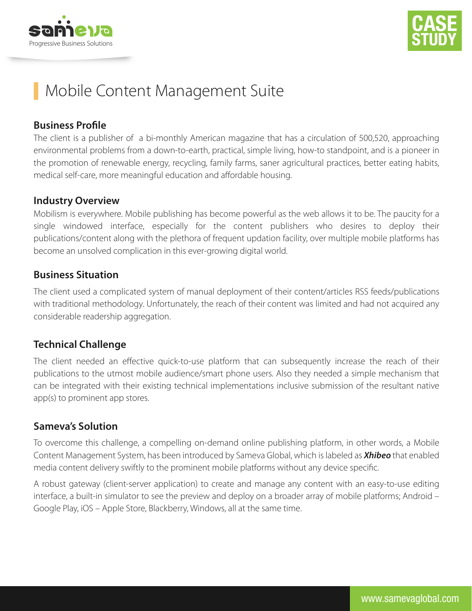



# Mobile Content Management Suite

## **Business Profile**

The client is a publisher of a bi-monthly American magazine that has a circulation of 500,520, approaching environmental problems from a down-to-earth, practical, simple living, how-to standpoint, and is a pioneer in the promotion of renewable energy, recycling, family farms, saner agricultural practices, better eating habits, medical self-care, more meaningful education and affordable housing.

#### **Industry Overview**

Mobilism is everywhere. Mobile publishing has become powerful as the web allows it to be. The paucity for a single windowed interface, especially for the content publishers who desires to deploy their publications/content along with the plethora of frequent updation facility, over multiple mobile platforms has become an unsolved complication in this ever-growing digital world.

### **Business Situation**

The client used a complicated system of manual deployment of their content/articles RSS feeds/publications with traditional methodology. Unfortunately, the reach of their content was limited and had not acquired any considerable readership aggregation.

## **Technical Challenge**

The client needed an effective quick-to-use platform that can subsequently increase the reach of their publications to the utmost mobile audience/smart phone users. Also they needed a simple mechanism that can be integrated with their existing technical implementations inclusive submission of the resultant native app(s) to prominent app stores.

### **Sameva's Solution**

To overcome this challenge, a compelling on-demand online publishing platform, in other words, a Mobile Content Management System, has been introduced by Sameva Global, which is labeled as *Xhibeo* that enabled media content delivery swiftly to the prominent mobile platforms without any device specific.

A robust gateway (client-server application) to create and manage any content with an easy-to-use editing interface, a built-in simulator to see the preview and deploy on a broader array of mobile platforms; Android – Google Play, iOS – Apple Store, Blackberry, Windows, all at the same time.